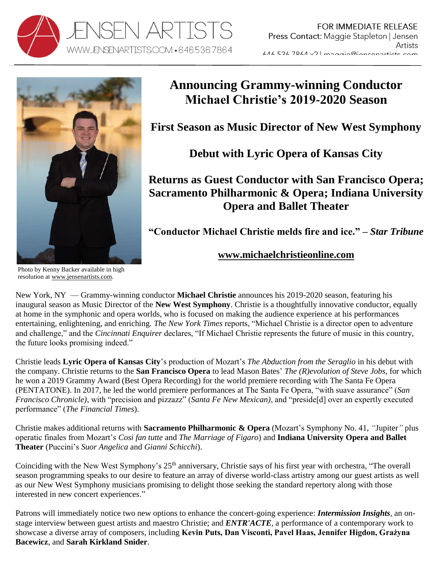



# **Announcing Grammy-winning Conductor Michael Christie's 2019-2020 Season**

**First Season as Music Director of New West Symphony**

**Debut with Lyric Opera of Kansas City**

**Returns as Guest Conductor with San Francisco Opera; Sacramento Philharmonic & Opera; Indiana University Opera and Ballet Theater** 

**"Conductor Michael Christie melds fire and ice." –** *Star Tribune*

## **[www.michaelchristieonline.com](http://www.michaelchristieonline.com/)**

Photo by Kenny Backer available in high resolution at [www.jensenartists.com.](http://www.jensenartists.com/michael-christie)

New York, NY — Grammy-winning conductor **Michael Christie** announces his 2019-2020 season, featuring his inaugural season as Music Director of the **New West Symphony**. Christie is a thoughtfully innovative conductor, equally at home in the symphonic and opera worlds, who is focused on making the audience experience at his performances entertaining, enlightening, and enriching. *The New York Times* reports, "Michael Christie is a director open to adventure and challenge," and the *Cincinnati Enquirer* declares, "If Michael Christie represents the future of music in this country, the future looks promising indeed."

Christie leads **Lyric Opera of Kansas City**'s production of Mozart's *The Abduction from the Seraglio* in his debut with the company. Christie returns to the **San Francisco Opera** to lead Mason Bates' *The (R)evolution of Steve Jobs*, for which he won a 2019 Grammy Award (Best Opera Recording) for the world premiere recording with The Santa Fe Opera (PENTATONE). In 2017, he led the world premiere performances at The Santa Fe Opera, "with suave assurance" (*San Francisco Chronicle)*, with "precision and pizzazz" (*Santa Fe New Mexican)*, and "preside[d] over an expertly executed performance" (*The Financial Times*).

Christie makes additional returns with **Sacramento Philharmonic & Opera** (Mozart's Symphony No. 41, *"*Jupiter*"* plus operatic finales from Mozart's *Cosi fan tutte* and *The Marriage of Figaro*) and **Indiana University Opera and Ballet Theater** (Puccini's *Suor Angelica* and *Gianni Schicchi*).

Coinciding with the New West Symphony's 25<sup>th</sup> anniversary, Christie says of his first year with orchestra, "The overall season programming speaks to our desire to feature an array of diverse world-class artistry among our guest artists as well as our New West Symphony musicians promising to delight those seeking the standard repertory along with those interested in new concert experiences."

Patrons will immediately notice two new options to enhance the concert-going experience: *Intermission Insights,* an onstage interview between guest artists and maestro Christie; and *ENTR'ACTE,* a performance of a contemporary work to showcase a diverse array of composers, including **Kevin Puts, Dan Visconti, Pavel Haas, Jennifer Higdon, Grażyna Bacewicz**, and **Sarah Kirkland Snider**.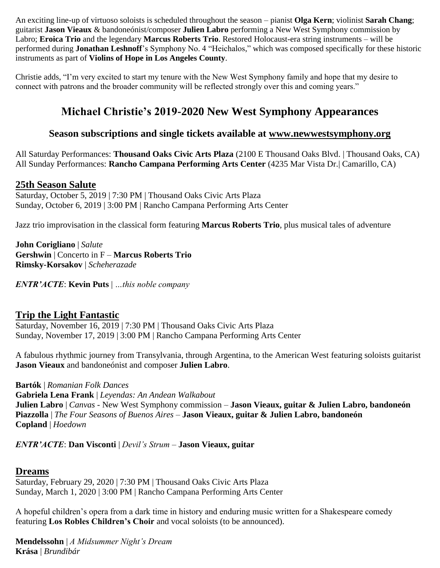An exciting line-up of virtuoso soloists is scheduled throughout the season – pianist **Olga Kern**; violinist **Sarah Chang**; guitarist **Jason Vieaux** & bandoneónist/composer **Julien Labro** performing a New West Symphony commission by Labro; **Eroica Trio** and the legendary **Marcus Roberts Trio**. Restored Holocaust-era string instruments – will be performed during **Jonathan Leshnoff**'s Symphony No. 4 "Heichalos," which was composed specifically for these historic instruments as part of **Violins of Hope in Los Angeles County**.

Christie adds, "I'm very excited to start my tenure with the New West Symphony family and hope that my desire to connect with patrons and the broader community will be reflected strongly over this and coming years."

# **Michael Christie's 2019-2020 New West Symphony Appearances**

## **Season subscriptions and single tickets available at [www.newwestsymphony.org](https://newwestsymphony.org/2019-2020-masterpiece-series/)**

All Saturday Performances: **Thousand Oaks Civic Arts Plaza** (2100 E Thousand Oaks Blvd. | Thousand Oaks, CA) All Sunday Performances: **Rancho Campana Performing Arts Center** (4235 Mar Vista Dr.| Camarillo, CA)

## **[25th Season Salute](https://newwestsymphony.org/25th-season-salute/)**

Saturday, October 5, 2019 | 7:30 PM | Thousand Oaks Civic Arts Plaza Sunday, October 6, 2019 | 3:00 PM | Rancho Campana Performing Arts Center

Jazz trio improvisation in the classical form featuring **Marcus Roberts Trio**, plus musical tales of adventure

**John Corigliano** | *Salute* **Gershwin** | Concerto in F – **Marcus Roberts Trio Rimsky-Korsakov** | *Scheherazade*

*ENTR'ACTE*: **Kevin Puts** | *…this noble company*

## **[Trip the Light Fantastic](https://newwestsymphony.org/trip-the-light-fantastic/)**

Saturday, November 16, 2019 | 7:30 PM | Thousand Oaks Civic Arts Plaza Sunday, November 17, 2019 | 3:00 PM | Rancho Campana Performing Arts Center

A fabulous rhythmic journey from Transylvania, through Argentina, to the American West featuring soloists guitarist **Jason Vieaux** and bandoneónist and composer **Julien Labro**.

**Bartók** | *Romanian Folk Dances*

**Gabriela Lena Frank** | *Leyendas: An Andean Walkabout* **Julien Labro** | *Canvas -* New West Symphony commission – **Jason Vieaux, guitar & Julien Labro, bandoneón Piazzolla** | *The Four Seasons of Buenos Aires* – **Jason Vieaux, guitar & Julien Labro, bandoneón Copland** | *Hoedown*

*ENTR'ACTE*: **Dan Visconti** | *Devil's Strum* – **Jason Vieaux, guitar**

### **[Dreams](https://newwestsymphony.org/dreams/)**

Saturday, February 29, 2020 | 7:30 PM | Thousand Oaks Civic Arts Plaza Sunday, March 1, 2020 | 3:00 PM | Rancho Campana Performing Arts Center

A hopeful children's opera from a dark time in history and enduring music written for a Shakespeare comedy featuring **Los Robles Children's Choir** and vocal soloists (to be announced).

**Mendelssohn** | *A Midsummer Night's Dream* **Krása** | *Brundibár*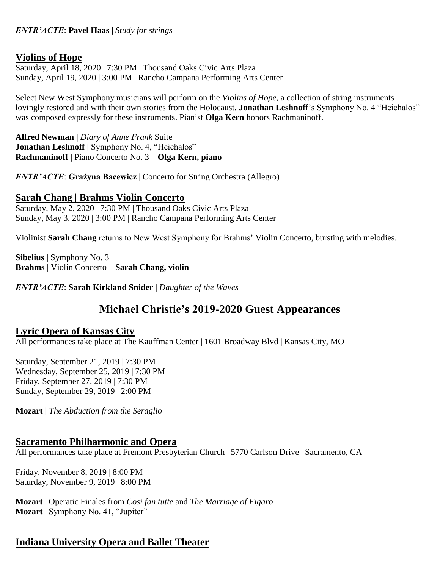#### *ENTR'ACTE*: **Pavel Haas** | *Study for strings*

## **[Violins of Hope](https://newwestsymphony.org/violins-of-hope/)**

Saturday, April 18, 2020 | 7:30 PM | Thousand Oaks Civic Arts Plaza Sunday, April 19, 2020 | 3:00 PM | Rancho Campana Performing Arts Center

Select New West Symphony musicians will perform on the *Violins of Hope*, a collection of string instruments lovingly restored and with their own stories from the Holocaust. **Jonathan Leshnoff**'s Symphony No. 4 "Heichalos" was composed expressly for these instruments. Pianist **Olga Kern** honors Rachmaninoff.

**Alfred Newman |** *Diary of Anne Frank* Suite **Jonathan Leshnoff |** Symphony No. 4, "Heichalos" **Rachmaninoff |** Piano Concerto No. 3 – **Olga Kern, piano**

*ENTR'ACTE*: **Grażyna Bacewicz** | Concerto for String Orchestra (Allegro)

#### **[Sarah Chang | Brahms Violin Concerto](https://newwestsymphony.org/sarah-chang-brahms/)**

Saturday, May 2, 2020 | 7:30 PM | Thousand Oaks Civic Arts Plaza Sunday, May 3, 2020 | 3:00 PM | Rancho Campana Performing Arts Center

Violinist **Sarah Chang** returns to New West Symphony for Brahms' Violin Concerto, bursting with melodies.

**Sibelius |** Symphony No. 3 **Brahms |** Violin Concerto – **Sarah Chang, violin**

*ENTR'ACTE*: **Sarah Kirkland Snider** | *Daughter of the Waves*

# **Michael Christie's 2019-2020 Guest Appearances**

### **[Lyric Opera of Kansas City](https://kcopera.org/performances/the-abduction-from-the-seraglio-19/)**

All performances take place at The Kauffman Center | 1601 Broadway Blvd | Kansas City, MO

Saturday, September 21, 2019 | 7:30 PM Wednesday, September 25, 2019 | 7:30 PM Friday, September 27, 2019 | 7:30 PM Sunday, September 29, 2019 | 2:00 PM

**Mozart |** *The Abduction from the Seraglio*

#### **[Sacramento Philharmonic and Opera](https://www.sacphilopera.org/production/opera-favorites-all-mozart/)**

All performances take place at Fremont Presbyterian Church | 5770 Carlson Drive | Sacramento, CA

Friday, November 8, 2019 | 8:00 PM Saturday, November 9, 2019 | 8:00 PM

**Mozart** | Operatic Finales from *Cosi fan tutte* and *The Marriage of Figaro* **Mozart** | Symphony No. 41, "Jupiter"

## **[Indiana University Opera and Ballet Theater](https://operaballet.indiana.edu/productions/suor%20angelica%20and%20gianni%20schicchi.html)**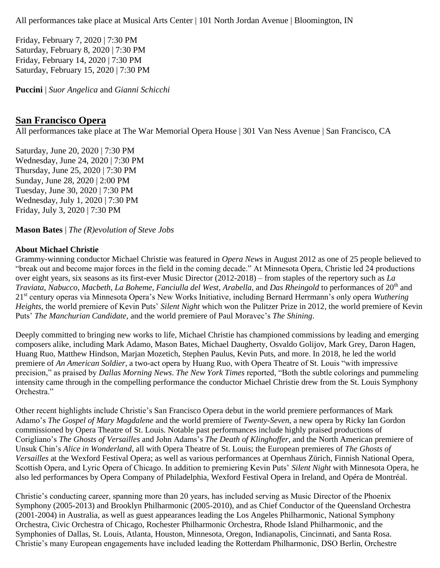All performances take place at Musical Arts Center | 101 North Jordan Avenue | Bloomington, IN

Friday, February 7, 2020 | 7:30 PM Saturday, February 8, 2020 | 7:30 PM Friday, February 14, 2020 | 7:30 PM Saturday, February 15, 2020 | 7:30 PM

**Puccini** | *Suor Angelica* and *Gianni Schicchi*

#### **[San Francisco Opera](https://sfopera.com/2019-20-season/the-revolution-of-steve-jobs/)**

All performances take place at The War Memorial Opera House | 301 Van Ness Avenue | San Francisco, CA

Saturday, June 20, 2020 | 7:30 PM Wednesday, June 24, 2020 | 7:30 PM Thursday, June 25, 2020 | 7:30 PM Sunday, June 28, 2020 | 2:00 PM Tuesday, June 30, 2020 | 7:30 PM Wednesday, July 1, 2020 | 7:30 PM Friday, July 3, 2020 | 7:30 PM

**Mason Bates** | *The (R)evolution of Steve Jobs*

#### **About Michael Christie**

Grammy-winning conductor Michael Christie was featured in *Opera News* in August 2012 as one of 25 people believed to "break out and become major forces in the field in the coming decade." At Minnesota Opera, Christie led 24 productions over eight years, six seasons as its first-ever Music Director (2012-2018) – from staples of the repertory such as *La Traviata, Nabucco, Macbeth, La Boheme, Fanciulla del West, Arabella, and Das Rheingold to performances of 20<sup>th</sup> and* 21st century operas via Minnesota Opera's New Works Initiative, including Bernard Herrmann's only opera *Wuthering Heights,* the world premiere of Kevin Puts' *Silent Night* which won the Pulitzer Prize in 2012*,* the world premiere of Kevin Puts' *The Manchurian Candidate,* and the world premiere of Paul Moravec's *The Shining*.

Deeply committed to bringing new works to life, Michael Christie has championed commissions by leading and emerging composers alike, including Mark Adamo, Mason Bates, Michael Daugherty, Osvaldo Golijov, Mark Grey, Daron Hagen, Huang Ruo, Matthew Hindson, Marjan Mozetich, Stephen Paulus, Kevin Puts, and more. In 2018, he led the world premiere of *An American Soldier*, a two-act opera by Huang Ruo, with Opera Theatre of St. Louis "with impressive precision," as praised by *Dallas Morning News*. *The New York Times* reported, "Both the subtle colorings and pummeling intensity came through in the compelling performance the conductor Michael Christie drew from the St. Louis Symphony Orchestra."

Other recent highlights include Christie's San Francisco Opera debut in the world premiere performances of Mark Adamo's *The Gospel of Mary Magdalene* and the world premiere of *Twenty-Seven*, a new opera by Ricky Ian Gordon commissioned by Opera Theatre of St. Louis. Notable past performances include highly praised productions of Corigliano's *The Ghosts of Versailles* and John Adams's *The Death of Klinghoffer*, and the North American premiere of Unsuk Chin's *Alice in Wonderland*, all with Opera Theatre of St. Louis; the European premieres of *The Ghosts of Versailles* at the Wexford Festival Opera; as well as various performances at Opernhaus Zürich, Finnish National Opera, Scottish Opera, and Lyric Opera of Chicago. In addition to premiering Kevin Puts' *Silent Night* with Minnesota Opera, he also led performances by Opera Company of Philadelphia, Wexford Festival Opera in Ireland, and Opéra de Montréal.

Christie's conducting career, spanning more than 20 years, has included serving as Music Director of the Phoenix Symphony (2005-2013) and Brooklyn Philharmonic (2005-2010), and as Chief Conductor of the Queensland Orchestra (2001-2004) in Australia, as well as guest appearances leading the Los Angeles Philharmonic, National Symphony Orchestra, Civic Orchestra of Chicago, Rochester Philharmonic Orchestra, Rhode Island Philharmonic, and the Symphonies of Dallas, St. Louis, Atlanta, Houston, Minnesota, Oregon, Indianapolis, Cincinnati, and Santa Rosa. Christie's many European engagements have included leading the Rotterdam Philharmonic, DSO Berlin, Orchestre